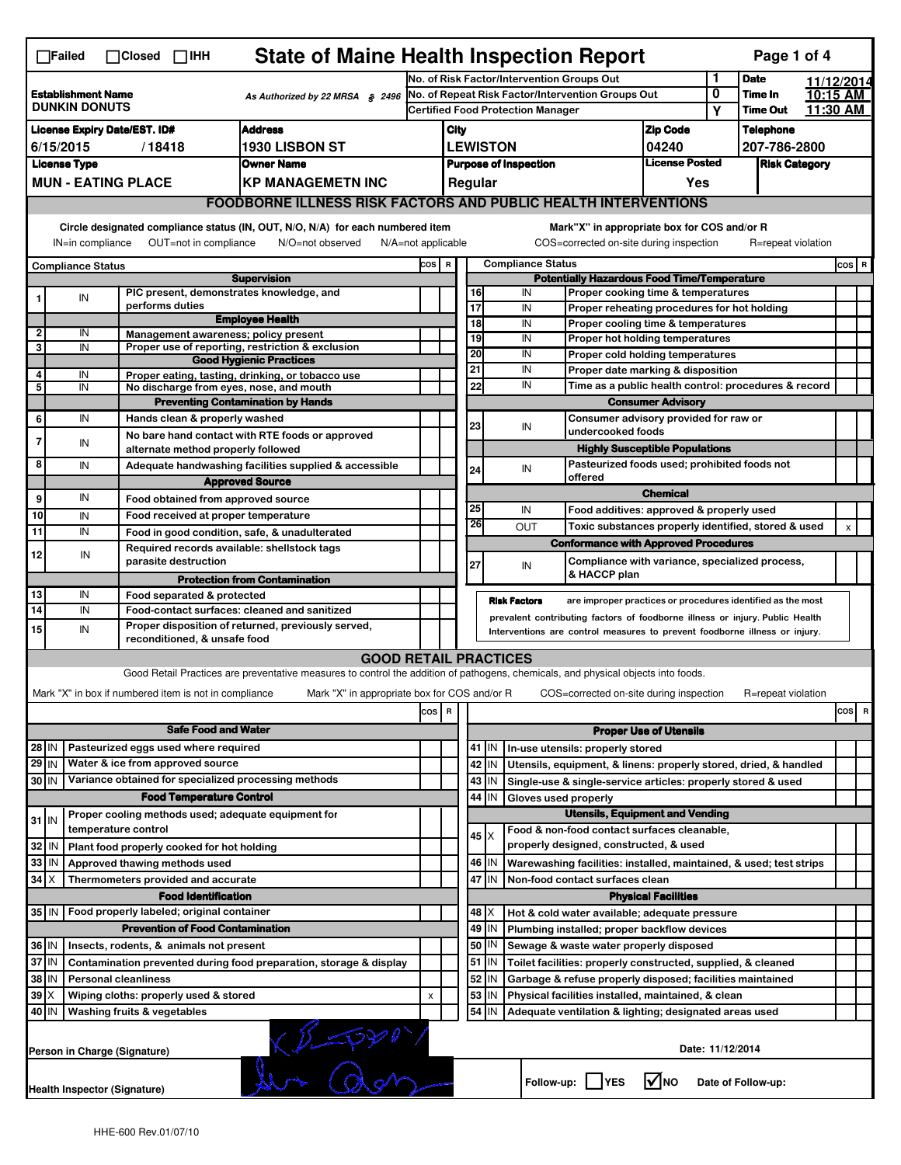|                                                                             | $\Box$ Failed                                                                                                                                                                                                                                                                             | $\Box$ Closed $\Box$ IHH |                                                       | <b>State of Maine Health Inspection Report</b>                                                                                    |                                            |                                                                                                                                   |                                                         |             |                                                              |                                                                                   |                                       |                  | Page 1 of 4                |            |                      |
|-----------------------------------------------------------------------------|-------------------------------------------------------------------------------------------------------------------------------------------------------------------------------------------------------------------------------------------------------------------------------------------|--------------------------|-------------------------------------------------------|-----------------------------------------------------------------------------------------------------------------------------------|--------------------------------------------|-----------------------------------------------------------------------------------------------------------------------------------|---------------------------------------------------------|-------------|--------------------------------------------------------------|-----------------------------------------------------------------------------------|---------------------------------------|------------------|----------------------------|------------|----------------------|
|                                                                             |                                                                                                                                                                                                                                                                                           |                          |                                                       |                                                                                                                                   | No. of Risk Factor/Intervention Groups Out |                                                                                                                                   |                                                         |             |                                                              |                                                                                   | 1                                     | <b>Date</b>      |                            | 11/12/2014 |                      |
|                                                                             | <b>Establishment Name</b><br>As Authorized by 22 MRSA § 2496<br><b>DUNKIN DONUTS</b>                                                                                                                                                                                                      |                          |                                                       |                                                                                                                                   |                                            | No. of Repeat Risk Factor/Intervention Groups Out<br><b>Certified Food Protection Manager</b>                                     |                                                         |             |                                                              |                                                                                   |                                       | 0                | Time In<br><b>Time Out</b> |            | 10:15 AM<br>11:30 AM |
|                                                                             |                                                                                                                                                                                                                                                                                           |                          |                                                       |                                                                                                                                   |                                            |                                                                                                                                   |                                                         |             |                                                              |                                                                                   |                                       | Y                |                            |            |                      |
|                                                                             | <b>Address</b><br><b>License Expiry Date/EST. ID#</b><br><b>1930 LISBON ST</b><br>6/15/2015                                                                                                                                                                                               |                          |                                                       |                                                                                                                                   |                                            |                                                                                                                                   | City                                                    |             |                                                              | <b>Zip Code</b>                                                                   |                                       | <b>Telephone</b> |                            |            |                      |
| /18418                                                                      |                                                                                                                                                                                                                                                                                           |                          |                                                       |                                                                                                                                   |                                            | <b>LEWISTON</b><br>04240                                                                                                          |                                                         |             |                                                              | 207-786-2800                                                                      |                                       |                  |                            |            |                      |
| <b>License Type</b><br><b>Owner Name</b>                                    |                                                                                                                                                                                                                                                                                           |                          |                                                       |                                                                                                                                   |                                            | <b>License Posted</b><br><b>Purpose of Inspection</b><br>Regular<br>Yes                                                           |                                                         |             |                                                              |                                                                                   | <b>Risk Category</b>                  |                  |                            |            |                      |
|                                                                             | <b>MUN - EATING PLACE</b><br><b>KP MANAGEMETN INC</b><br>FOODBORNE ILLNESS RISK FACTORS AND PUBLIC HEALTH INTERVENTIONS                                                                                                                                                                   |                          |                                                       |                                                                                                                                   |                                            |                                                                                                                                   |                                                         |             |                                                              |                                                                                   |                                       |                  |                            |            |                      |
|                                                                             |                                                                                                                                                                                                                                                                                           |                          |                                                       |                                                                                                                                   |                                            |                                                                                                                                   |                                                         |             |                                                              |                                                                                   |                                       |                  |                            |            |                      |
|                                                                             | Circle designated compliance status (IN, OUT, N/O, N/A) for each numbered item<br>Mark"X" in appropriate box for COS and/or R<br>OUT=not in compliance<br>COS=corrected on-site during inspection<br>IN=in compliance<br>N/O=not observed<br>$N/A = not$ applicable<br>R=repeat violation |                          |                                                       |                                                                                                                                   |                                            |                                                                                                                                   |                                                         |             |                                                              |                                                                                   |                                       |                  |                            |            |                      |
|                                                                             | <b>Compliance Status</b>                                                                                                                                                                                                                                                                  |                          |                                                       |                                                                                                                                   |                                            | <b>Compliance Status</b><br>COS R                                                                                                 |                                                         |             |                                                              |                                                                                   |                                       |                  |                            |            | $cos$ R              |
|                                                                             |                                                                                                                                                                                                                                                                                           |                          |                                                       | <b>Supervision</b>                                                                                                                |                                            |                                                                                                                                   |                                                         |             |                                                              | <b>Potentially Hazardous Food Time/Temperature</b>                                |                                       |                  |                            |            |                      |
|                                                                             | IN                                                                                                                                                                                                                                                                                        |                          | performs duties                                       | PIC present, demonstrates knowledge, and                                                                                          |                                            |                                                                                                                                   | 16<br>17                                                |             | IN<br>IN                                                     | Proper cooking time & temperatures                                                |                                       |                  |                            |            |                      |
|                                                                             |                                                                                                                                                                                                                                                                                           |                          |                                                       | <b>Employee Health</b>                                                                                                            |                                            |                                                                                                                                   | 18                                                      |             | IN                                                           | Proper reheating procedures for hot holding<br>Proper cooling time & temperatures |                                       |                  |                            |            |                      |
| 2                                                                           | IN                                                                                                                                                                                                                                                                                        |                          |                                                       | Management awareness; policy present                                                                                              |                                            |                                                                                                                                   | 19                                                      |             | IN                                                           | Proper hot holding temperatures                                                   |                                       |                  |                            |            |                      |
| 3                                                                           | IN                                                                                                                                                                                                                                                                                        |                          |                                                       | Proper use of reporting, restriction & exclusion                                                                                  |                                            |                                                                                                                                   | 20                                                      |             | IN                                                           | Proper cold holding temperatures                                                  |                                       |                  |                            |            |                      |
| 4                                                                           | IN                                                                                                                                                                                                                                                                                        |                          |                                                       | <b>Good Hygienic Practices</b><br>Proper eating, tasting, drinking, or tobacco use                                                |                                            |                                                                                                                                   | 21                                                      |             | IN                                                           | Proper date marking & disposition                                                 |                                       |                  |                            |            |                      |
| 5                                                                           | IN                                                                                                                                                                                                                                                                                        |                          |                                                       | No discharge from eyes, nose, and mouth                                                                                           |                                            |                                                                                                                                   | 22                                                      |             | IN                                                           | Time as a public health control: procedures & record                              |                                       |                  |                            |            |                      |
|                                                                             |                                                                                                                                                                                                                                                                                           |                          |                                                       | <b>Preventing Contamination by Hands</b>                                                                                          |                                            |                                                                                                                                   |                                                         |             |                                                              | <b>Consumer Advisory</b>                                                          |                                       |                  |                            |            |                      |
| 6                                                                           | IN                                                                                                                                                                                                                                                                                        |                          | Hands clean & properly washed                         |                                                                                                                                   |                                            |                                                                                                                                   | 23                                                      |             | Consumer advisory provided for raw or                        |                                                                                   |                                       |                  |                            |            |                      |
| 7                                                                           |                                                                                                                                                                                                                                                                                           |                          |                                                       | No bare hand contact with RTE foods or approved                                                                                   |                                            |                                                                                                                                   |                                                         |             | IN                                                           | undercooked foods                                                                 |                                       |                  |                            |            |                      |
|                                                                             | IN                                                                                                                                                                                                                                                                                        |                          | alternate method properly followed                    |                                                                                                                                   |                                            |                                                                                                                                   |                                                         |             |                                                              |                                                                                   | <b>Highly Susceptible Populations</b> |                  |                            |            |                      |
| 8                                                                           | IN                                                                                                                                                                                                                                                                                        |                          |                                                       | Adequate handwashing facilities supplied & accessible                                                                             |                                            |                                                                                                                                   | 24                                                      |             | IN                                                           | Pasteurized foods used; prohibited foods not<br>offered                           |                                       |                  |                            |            |                      |
|                                                                             |                                                                                                                                                                                                                                                                                           |                          |                                                       | <b>Approved Source</b>                                                                                                            |                                            |                                                                                                                                   |                                                         |             |                                                              |                                                                                   | <b>Chemical</b>                       |                  |                            |            |                      |
| 9                                                                           | IN                                                                                                                                                                                                                                                                                        |                          | Food obtained from approved source                    |                                                                                                                                   |                                            |                                                                                                                                   | 25                                                      |             | IN                                                           | Food additives: approved & properly used                                          |                                       |                  |                            |            |                      |
| 10                                                                          | IN                                                                                                                                                                                                                                                                                        |                          | Food received at proper temperature                   |                                                                                                                                   |                                            |                                                                                                                                   | 26                                                      |             | <b>OUT</b>                                                   | Toxic substances properly identified, stored & used                               |                                       |                  |                            |            | $\pmb{\times}$       |
| 11                                                                          | IN                                                                                                                                                                                                                                                                                        |                          |                                                       | Food in good condition, safe, & unadulterated                                                                                     |                                            |                                                                                                                                   |                                                         |             |                                                              | <b>Conformance with Approved Procedures</b>                                       |                                       |                  |                            |            |                      |
| 12                                                                          | IN                                                                                                                                                                                                                                                                                        |                          | parasite destruction                                  | Required records available: shellstock tags                                                                                       |                                            |                                                                                                                                   | 27                                                      |             | IN                                                           | Compliance with variance, specialized process,                                    |                                       |                  |                            |            |                      |
|                                                                             |                                                                                                                                                                                                                                                                                           |                          |                                                       | <b>Protection from Contamination</b>                                                                                              |                                            |                                                                                                                                   |                                                         |             |                                                              | & HACCP plan                                                                      |                                       |                  |                            |            |                      |
| 13                                                                          | IN                                                                                                                                                                                                                                                                                        |                          | Food separated & protected                            |                                                                                                                                   |                                            |                                                                                                                                   |                                                         |             | <b>Risk Factors</b>                                          | are improper practices or procedures identified as the most                       |                                       |                  |                            |            |                      |
| $\overline{14}$                                                             | IN                                                                                                                                                                                                                                                                                        |                          |                                                       | Food-contact surfaces: cleaned and sanitized                                                                                      |                                            |                                                                                                                                   |                                                         |             |                                                              | prevalent contributing factors of foodborne illness or injury. Public Health      |                                       |                  |                            |            |                      |
| 15                                                                          | IN                                                                                                                                                                                                                                                                                        |                          | reconditioned, & unsafe food                          | Proper disposition of returned, previously served,                                                                                |                                            |                                                                                                                                   |                                                         |             |                                                              | Interventions are control measures to prevent foodborne illness or injury.        |                                       |                  |                            |            |                      |
|                                                                             |                                                                                                                                                                                                                                                                                           |                          |                                                       | <b>GOOD RETAIL PRACTICES</b>                                                                                                      |                                            |                                                                                                                                   |                                                         |             |                                                              |                                                                                   |                                       |                  |                            |            |                      |
|                                                                             |                                                                                                                                                                                                                                                                                           |                          |                                                       | Good Retail Practices are preventative measures to control the addition of pathogens, chemicals, and physical objects into foods. |                                            |                                                                                                                                   |                                                         |             |                                                              |                                                                                   |                                       |                  |                            |            |                      |
|                                                                             |                                                                                                                                                                                                                                                                                           |                          | Mark "X" in box if numbered item is not in compliance | Mark "X" in appropriate box for COS and/or R                                                                                      |                                            |                                                                                                                                   |                                                         |             |                                                              | COS=corrected on-site during inspection                                           |                                       |                  | R=repeat violation         |            |                      |
|                                                                             |                                                                                                                                                                                                                                                                                           |                          |                                                       |                                                                                                                                   | cos                                        | R                                                                                                                                 |                                                         |             |                                                              |                                                                                   |                                       |                  |                            |            | cos R                |
|                                                                             |                                                                                                                                                                                                                                                                                           |                          | <b>Safe Food and Water</b>                            |                                                                                                                                   |                                            |                                                                                                                                   |                                                         |             |                                                              |                                                                                   | <b>Proper Use of Utensils</b>         |                  |                            |            |                      |
| 28 IN                                                                       |                                                                                                                                                                                                                                                                                           |                          | Pasteurized eggs used where required                  |                                                                                                                                   |                                            |                                                                                                                                   |                                                         | $41$ IN     |                                                              | In-use utensils: properly stored                                                  |                                       |                  |                            |            |                      |
| 29 IN                                                                       |                                                                                                                                                                                                                                                                                           |                          | Water & ice from approved source                      |                                                                                                                                   |                                            |                                                                                                                                   |                                                         | 42<br>IN    |                                                              | Utensils, equipment, & linens: properly stored, dried, & handled                  |                                       |                  |                            |            |                      |
| Variance obtained for specialized processing methods<br>30 IN               |                                                                                                                                                                                                                                                                                           |                          |                                                       |                                                                                                                                   |                                            |                                                                                                                                   | 43<br>IN                                                |             | Single-use & single-service articles: properly stored & used |                                                                                   |                                       |                  |                            |            |                      |
| <b>Food Temperature Control</b>                                             |                                                                                                                                                                                                                                                                                           |                          |                                                       |                                                                                                                                   |                                            |                                                                                                                                   | 44<br>IN<br>Gloves used properly                        |             |                                                              |                                                                                   |                                       |                  |                            |            |                      |
| $31$ IN                                                                     |                                                                                                                                                                                                                                                                                           |                          |                                                       | Proper cooling methods used; adequate equipment for                                                                               |                                            |                                                                                                                                   |                                                         |             |                                                              | <b>Utensils, Equipment and Vending</b>                                            |                                       |                  |                            |            |                      |
|                                                                             |                                                                                                                                                                                                                                                                                           | temperature control      |                                                       |                                                                                                                                   |                                            |                                                                                                                                   |                                                         | $45 \times$ |                                                              | Food & non-food contact surfaces cleanable,                                       |                                       |                  |                            |            |                      |
| 32                                                                          | IN                                                                                                                                                                                                                                                                                        |                          | Plant food properly cooked for hot holding            |                                                                                                                                   |                                            |                                                                                                                                   |                                                         |             |                                                              | properly designed, constructed, & used                                            |                                       |                  |                            |            |                      |
| 33                                                                          | IN                                                                                                                                                                                                                                                                                        |                          | Approved thawing methods used                         |                                                                                                                                   |                                            |                                                                                                                                   |                                                         | 46  <br>IN  |                                                              | Warewashing facilities: installed, maintained, & used; test strips                |                                       |                  |                            |            |                      |
| 34                                                                          | Iх                                                                                                                                                                                                                                                                                        |                          | Thermometers provided and accurate                    |                                                                                                                                   |                                            |                                                                                                                                   |                                                         | 47 IN       |                                                              | Non-food contact surfaces clean                                                   |                                       |                  |                            |            |                      |
|                                                                             |                                                                                                                                                                                                                                                                                           |                          | <b>Food Identification</b>                            |                                                                                                                                   |                                            |                                                                                                                                   |                                                         |             |                                                              |                                                                                   | <b>Physical Facilities</b>            |                  |                            |            |                      |
|                                                                             | 35 IN<br>Food properly labeled; original container                                                                                                                                                                                                                                        |                          |                                                       |                                                                                                                                   |                                            |                                                                                                                                   |                                                         | 48   X      |                                                              | Hot & cold water available; adequate pressure                                     |                                       |                  |                            |            |                      |
| <b>Prevention of Food Contamination</b>                                     |                                                                                                                                                                                                                                                                                           |                          |                                                       |                                                                                                                                   |                                            |                                                                                                                                   | 49<br>IN<br>Plumbing installed; proper backflow devices |             |                                                              |                                                                                   |                                       |                  |                            |            |                      |
| 36 IN<br>Insects, rodents, & animals not present                            |                                                                                                                                                                                                                                                                                           |                          |                                                       |                                                                                                                                   |                                            | 50 <br>IN<br>Sewage & waste water properly disposed                                                                               |                                                         |             |                                                              |                                                                                   |                                       |                  |                            |            |                      |
| 37 IN<br>Contamination prevented during food preparation, storage & display |                                                                                                                                                                                                                                                                                           |                          |                                                       |                                                                                                                                   |                                            | $51$ M<br>Toilet facilities: properly constructed, supplied, & cleaned                                                            |                                                         |             |                                                              |                                                                                   |                                       |                  |                            |            |                      |
| 38<br>ΙN<br><b>Personal cleanliness</b>                                     |                                                                                                                                                                                                                                                                                           |                          |                                                       |                                                                                                                                   |                                            | 52<br>IN<br>Garbage & refuse properly disposed; facilities maintained<br>53<br>Physical facilities installed, maintained, & clean |                                                         |             |                                                              |                                                                                   |                                       |                  |                            |            |                      |
| $39$ $\times$<br>Wiping cloths: properly used & stored<br>40   IN           |                                                                                                                                                                                                                                                                                           |                          |                                                       |                                                                                                                                   | X                                          |                                                                                                                                   |                                                         | IN<br>IN    |                                                              |                                                                                   |                                       |                  |                            |            |                      |
|                                                                             | 54<br>Washing fruits & vegetables<br>Adequate ventilation & lighting; designated areas used                                                                                                                                                                                               |                          |                                                       |                                                                                                                                   |                                            |                                                                                                                                   |                                                         |             |                                                              |                                                                                   |                                       |                  |                            |            |                      |
|                                                                             | $(P-PPV)$<br>Date: 11/12/2014<br>Person in Charge (Signature)                                                                                                                                                                                                                             |                          |                                                       |                                                                                                                                   |                                            |                                                                                                                                   |                                                         |             |                                                              |                                                                                   |                                       |                  |                            |            |                      |
|                                                                             | Health Inspector (Signature)                                                                                                                                                                                                                                                              |                          |                                                       |                                                                                                                                   |                                            |                                                                                                                                   |                                                         |             |                                                              | Follow-up:     YES                                                                | l√Ino                                 |                  | Date of Follow-up:         |            |                      |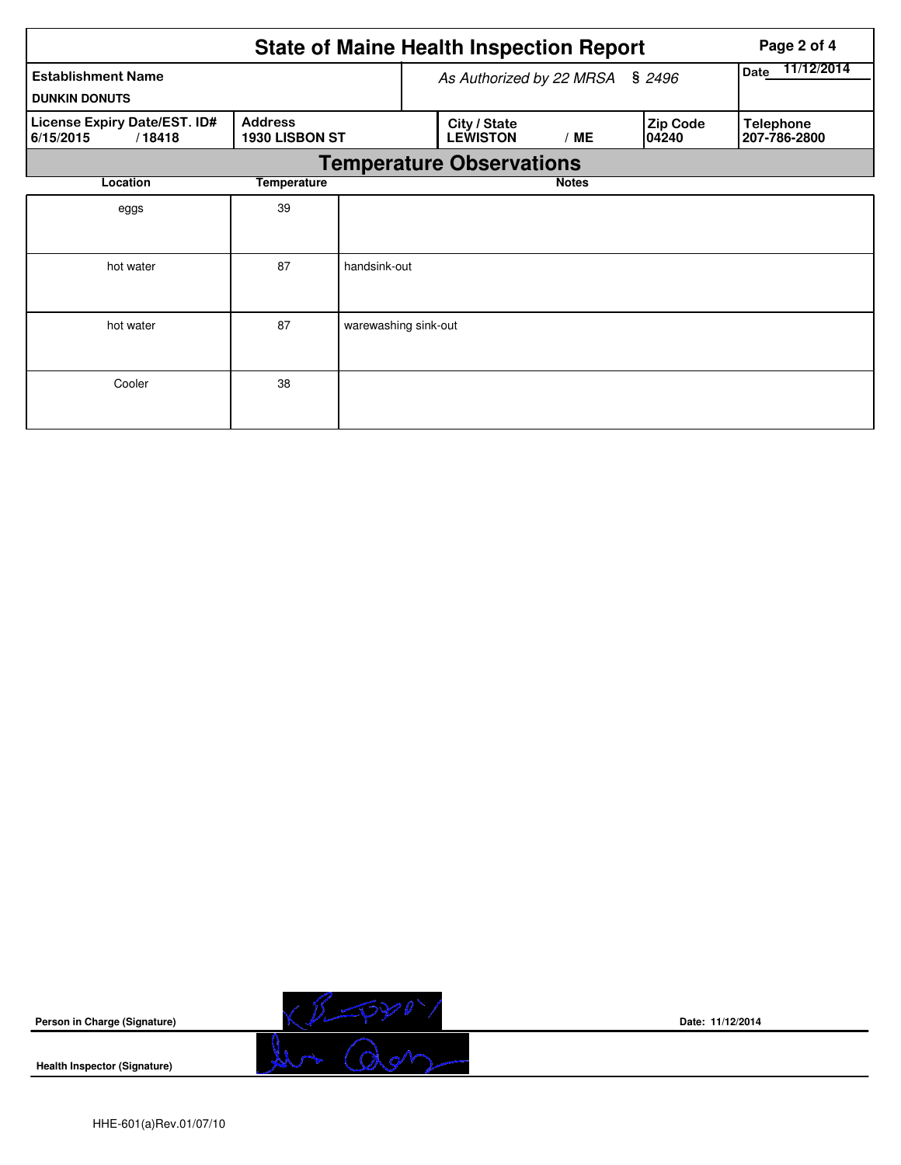|                                                     |                                  |                      | <b>State of Maine Health Inspection Report</b> | Page 2 of 4        |                          |                                  |  |  |  |  |
|-----------------------------------------------------|----------------------------------|----------------------|------------------------------------------------|--------------------|--------------------------|----------------------------------|--|--|--|--|
| <b>Establishment Name</b><br><b>DUNKIN DONUTS</b>   |                                  |                      | As Authorized by 22 MRSA § 2496                | 11/12/2014<br>Date |                          |                                  |  |  |  |  |
| License Expiry Date/EST. ID#<br>6/15/2015<br>/18418 | <b>Address</b><br>1930 LISBON ST |                      | City / State<br><b>LEWISTON</b>                | /ME                | <b>Zip Code</b><br>04240 | <b>Telephone</b><br>207-786-2800 |  |  |  |  |
|                                                     | <b>Temperature Observations</b>  |                      |                                                |                    |                          |                                  |  |  |  |  |
| Location                                            | Temperature                      |                      |                                                | <b>Notes</b>       |                          |                                  |  |  |  |  |
| eggs                                                | 39                               |                      |                                                |                    |                          |                                  |  |  |  |  |
| hot water                                           | 87                               | handsink-out         |                                                |                    |                          |                                  |  |  |  |  |
| hot water                                           | 87                               | warewashing sink-out |                                                |                    |                          |                                  |  |  |  |  |
| Cooler                                              | 38                               |                      |                                                |                    |                          |                                  |  |  |  |  |



**Health Inspector (Signature)** 



**Date: 11/12/2014**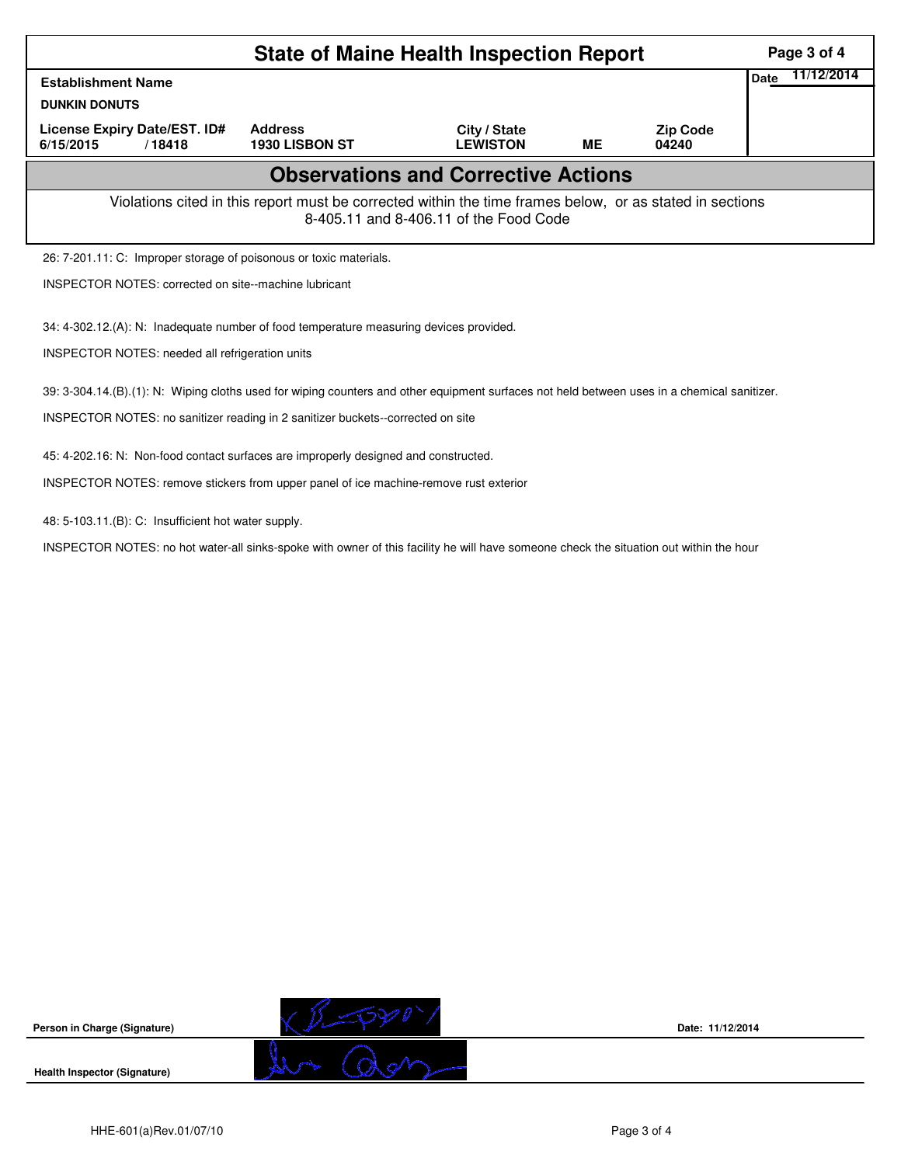|                                                                                                                                                    | Page 3 of 4                                                                            |                                 |           |                          |                    |  |  |  |  |
|----------------------------------------------------------------------------------------------------------------------------------------------------|----------------------------------------------------------------------------------------|---------------------------------|-----------|--------------------------|--------------------|--|--|--|--|
| <b>Establishment Name</b>                                                                                                                          |                                                                                        |                                 |           |                          | 11/12/2014<br>Date |  |  |  |  |
| <b>DUNKIN DONUTS</b>                                                                                                                               |                                                                                        |                                 |           |                          |                    |  |  |  |  |
| License Expiry Date/EST. ID#<br>6/15/2015<br>/18418                                                                                                | <b>Address</b><br>1930 LISBON ST                                                       | City / State<br><b>LEWISTON</b> | <b>ME</b> | <b>Zip Code</b><br>04240 |                    |  |  |  |  |
| <b>Observations and Corrective Actions</b>                                                                                                         |                                                                                        |                                 |           |                          |                    |  |  |  |  |
| Violations cited in this report must be corrected within the time frames below, or as stated in sections<br>8-405.11 and 8-406.11 of the Food Code |                                                                                        |                                 |           |                          |                    |  |  |  |  |
|                                                                                                                                                    | 26: 7-201.11: C: Improper storage of poisonous or toxic materials.                     |                                 |           |                          |                    |  |  |  |  |
| <b>INSPECTOR NOTES: corrected on site--machine lubricant</b>                                                                                       |                                                                                        |                                 |           |                          |                    |  |  |  |  |
|                                                                                                                                                    | 34: 4-302.12.(A): N: Inadequate number of food temperature measuring devices provided. |                                 |           |                          |                    |  |  |  |  |
| <b>INSPECTOR NOTES: needed all refrigeration units</b>                                                                                             |                                                                                        |                                 |           |                          |                    |  |  |  |  |
| 39: 3-304.14.(B).(1): N: Wiping cloths used for wiping counters and other equipment surfaces not held between uses in a chemical sanitizer.        |                                                                                        |                                 |           |                          |                    |  |  |  |  |
| INSPECTOR NOTES: no sanitizer reading in 2 sanitizer buckets--corrected on site                                                                    |                                                                                        |                                 |           |                          |                    |  |  |  |  |
| 45: 4-202.16: N: Non-food contact surfaces are improperly designed and constructed.                                                                |                                                                                        |                                 |           |                          |                    |  |  |  |  |
| INSPECTOR NOTES: remove stickers from upper panel of ice machine-remove rust exterior                                                              |                                                                                        |                                 |           |                          |                    |  |  |  |  |
|                                                                                                                                                    |                                                                                        |                                 |           |                          |                    |  |  |  |  |

48: 5-103.11.(B): C: Insufficient hot water supply.

INSPECTOR NOTES: no hot water-all sinks-spoke with owner of this facility he will have someone check the situation out within the hour



**Date: 11/12/2014**